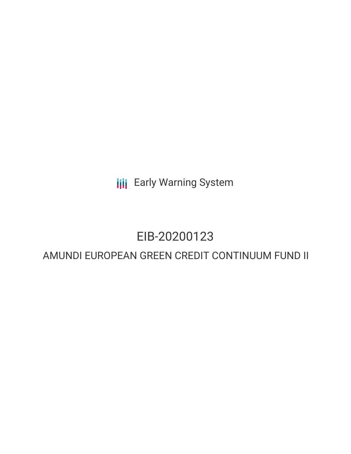**III** Early Warning System

# EIB-20200123

## AMUNDI EUROPEAN GREEN CREDIT CONTINUUM FUND II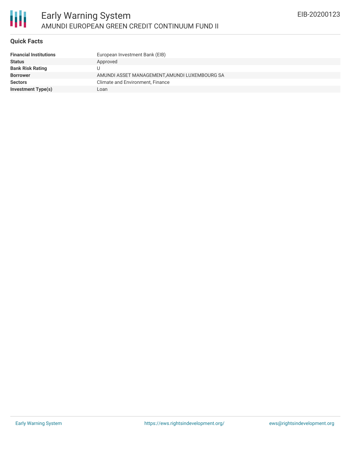

#### **Quick Facts**

| <b>Financial Institutions</b> | European Investment Bank (EIB)                |
|-------------------------------|-----------------------------------------------|
| <b>Status</b>                 | Approved                                      |
| <b>Bank Risk Rating</b>       | U                                             |
| <b>Borrower</b>               | AMUNDI ASSET MANAGEMENT, AMUNDI LUXEMBOURG SA |
| <b>Sectors</b>                | Climate and Environment, Finance              |
| <b>Investment Type(s)</b>     | Loan                                          |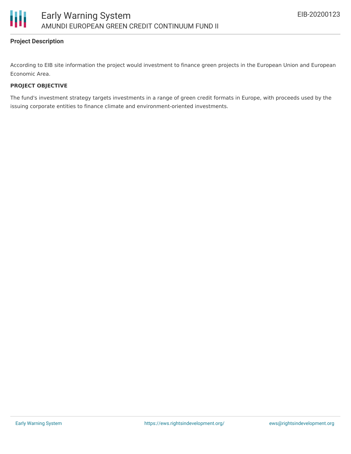



### **Project Description**

According to EIB site information the project would investment to finance green projects in the European Union and European Economic Area.

#### **PROJECT OBJECTIVE**

The fund's investment strategy targets investments in a range of green credit formats in Europe, with proceeds used by the issuing corporate entities to finance climate and environment-oriented investments.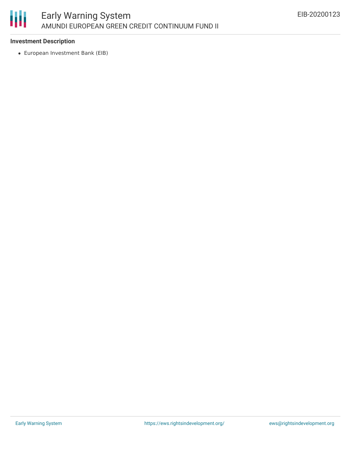

#### **Investment Description**

European Investment Bank (EIB)